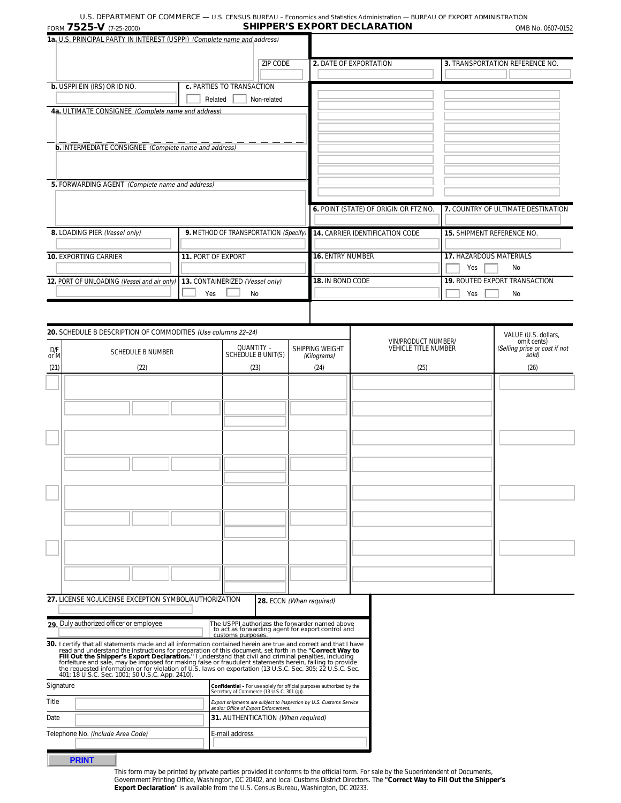| 1a. U.S. PRINCIPAL PARTY IN INTEREST (USPPI) (Complete name and address) |                                       |                         |                                        |                                   |                                      |
|--------------------------------------------------------------------------|---------------------------------------|-------------------------|----------------------------------------|-----------------------------------|--------------------------------------|
|                                                                          | <b>ZIP CODE</b>                       |                         | <b>2. DATE OF EXPORTATION</b>          |                                   | 3. TRANSPORTATION REFERENCE NO.      |
| <b>b.</b> USPPI EIN (IRS) OR ID NO.                                      | c. PARTIES TO TRANSACTION             |                         |                                        |                                   |                                      |
|                                                                          | Related<br>Non-related                |                         |                                        |                                   |                                      |
| 4a. ULTIMATE CONSIGNEE (Complete name and address)                       |                                       |                         |                                        |                                   |                                      |
|                                                                          |                                       |                         |                                        |                                   |                                      |
|                                                                          |                                       |                         |                                        |                                   |                                      |
| <b>b.</b> INTERMEDIATE CONSIGNEE (Complete name and address)             |                                       |                         |                                        |                                   |                                      |
|                                                                          |                                       |                         |                                        |                                   |                                      |
|                                                                          |                                       |                         |                                        |                                   |                                      |
| 5. FORWARDING AGENT (Complete name and address)                          |                                       |                         |                                        |                                   |                                      |
|                                                                          |                                       |                         |                                        |                                   |                                      |
|                                                                          |                                       |                         | 6. POINT (STATE) OF ORIGIN OR FTZ NO.  |                                   | 7. COUNTRY OF ULTIMATE DESTINATION   |
|                                                                          |                                       |                         |                                        |                                   |                                      |
| 8. LOADING PIER (Vessel only)                                            | 9. METHOD OF TRANSPORTATION (Specify) |                         | <b>14. CARRIER IDENTIFICATION CODE</b> | <b>15. SHIPMENT REFERENCE NO.</b> |                                      |
|                                                                          |                                       |                         |                                        |                                   |                                      |
| <b>10. EXPORTING CARRIER</b>                                             | 11. PORT OF EXPORT                    | <b>16. ENTRY NUMBER</b> |                                        | <b>17. HAZARDOUS MATERIALS</b>    |                                      |
|                                                                          |                                       |                         |                                        | Yes                               | No                                   |
| 12. PORT OF UNLOADING (Vessel and air only)                              | 13. CONTAINERIZED (Vessel only)       | 18. IN BOND CODE        |                                        |                                   | <b>19. ROUTED EXPORT TRANSACTION</b> |
|                                                                          | Yes<br>No                             |                         |                                        | Yes                               | No                                   |
|                                                                          |                                       |                         |                                        |                                   |                                      |
|                                                                          |                                       |                         |                                        |                                   |                                      |
| 20. SCHEDULE B DESCRIPTION OF COMMODITIES (Use columns 22-24)            |                                       |                         |                                        |                                   | $MAI IIF AI C. J=IL1$                |

|             | <b>20.</b> SCHEDULE B DESCRIPTION OF COMMODITIES (Use columns 22–24)                                                                                                                                                                                                                                                                                     |                                                                                                                          |                                | VALUE (U.S. dollars,                               |                                                       |
|-------------|----------------------------------------------------------------------------------------------------------------------------------------------------------------------------------------------------------------------------------------------------------------------------------------------------------------------------------------------------------|--------------------------------------------------------------------------------------------------------------------------|--------------------------------|----------------------------------------------------|-------------------------------------------------------|
| D/F<br>or M | <b>SCHEDULE B NUMBER</b>                                                                                                                                                                                                                                                                                                                                 | QUANTITY -<br>SCHEDULE B UNIT(S)                                                                                         | SHIPPING WEIGHT<br>(Kilograms) | VIN/PRODUCT NUMBER/<br><b>VEHICLE TITLE NUMBER</b> | omit cents)<br>(Selling price or cost if not<br>sold) |
| (21)        | (22)                                                                                                                                                                                                                                                                                                                                                     | (23)                                                                                                                     | (24)                           | (25)                                               | (26)                                                  |
|             |                                                                                                                                                                                                                                                                                                                                                          |                                                                                                                          |                                |                                                    |                                                       |
|             |                                                                                                                                                                                                                                                                                                                                                          |                                                                                                                          |                                |                                                    |                                                       |
|             |                                                                                                                                                                                                                                                                                                                                                          |                                                                                                                          |                                |                                                    |                                                       |
|             |                                                                                                                                                                                                                                                                                                                                                          |                                                                                                                          |                                |                                                    |                                                       |
|             |                                                                                                                                                                                                                                                                                                                                                          |                                                                                                                          |                                |                                                    |                                                       |
|             |                                                                                                                                                                                                                                                                                                                                                          |                                                                                                                          |                                |                                                    |                                                       |
|             |                                                                                                                                                                                                                                                                                                                                                          |                                                                                                                          |                                |                                                    |                                                       |
|             |                                                                                                                                                                                                                                                                                                                                                          |                                                                                                                          |                                |                                                    |                                                       |
|             | 27. LICENSE NO./LICENSE EXCEPTION SYMBOL/AUTHORIZATION                                                                                                                                                                                                                                                                                                   |                                                                                                                          | 28. ECCN (When required)       |                                                    |                                                       |
|             | 29 Duly authorized officer or employee                                                                                                                                                                                                                                                                                                                   | The USPPI authorizes the forwarder named above<br>to act as forwarding agent for export control and<br>customs purposes. |                                |                                                    |                                                       |
|             | 30. I certify that all statements made and all information contained herein are true and correct and that I have<br>Figure and and understand the instructions for preparation of this document, set forth in the "Correct Way to<br>Figure and understand the instructions for preparation of this document, set forth in the "Correct Way to<br>Fill O |                                                                                                                          |                                |                                                    |                                                       |
| Signature   |                                                                                                                                                                                                                                                                                                                                                          | Confidential - For use solely for official purposes authorized by the<br>Secretary of Commerce (13 U.S.C. 301 (g)).      |                                |                                                    |                                                       |
| Title       |                                                                                                                                                                                                                                                                                                                                                          | Export shipments are subject to inspection by U.S. Customs Service<br>and/or Office of Export Enforcement.               |                                |                                                    |                                                       |
| Date        |                                                                                                                                                                                                                                                                                                                                                          | 31. AUTHENTICATION (When required)                                                                                       |                                |                                                    |                                                       |
|             | Telephone No. (Include Area Code)                                                                                                                                                                                                                                                                                                                        | E-mail address                                                                                                           |                                |                                                    |                                                       |
|             |                                                                                                                                                                                                                                                                                                                                                          |                                                                                                                          |                                |                                                    |                                                       |

**PRINT**

This form may be printed by private parties provided it conforms to the official form. For sale by the Superintendent of Documents,<br>Government Printing Office, Washington, DC 20402, and local Customs District Directors. Th